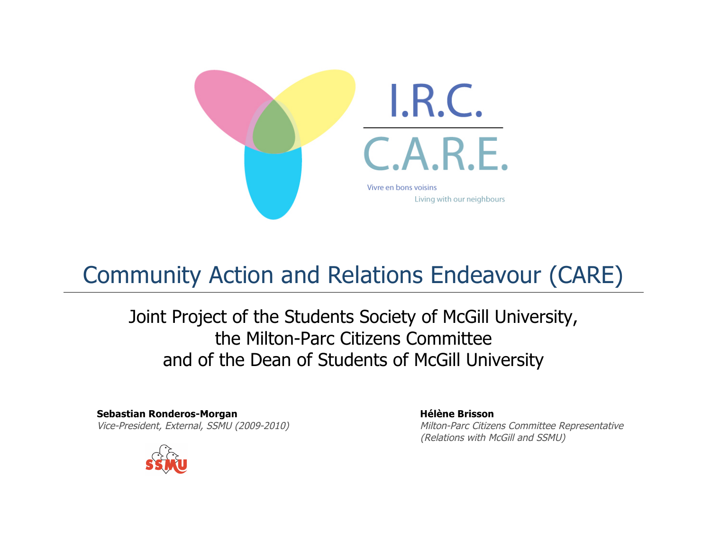

# Community Action and Relations Endeavour (CARE)

Joint Project of the Students Society of McGill University, the Milton-Parc Citizens Committee and of the Dean of Students of McGill University

**Sebastian Ronderos-Morgan Hélène Brisson**

Vice-President, External, SSMU (2009-2010) Milton-Parc Citizens Committee Representative (Relations with McGill and SSMU)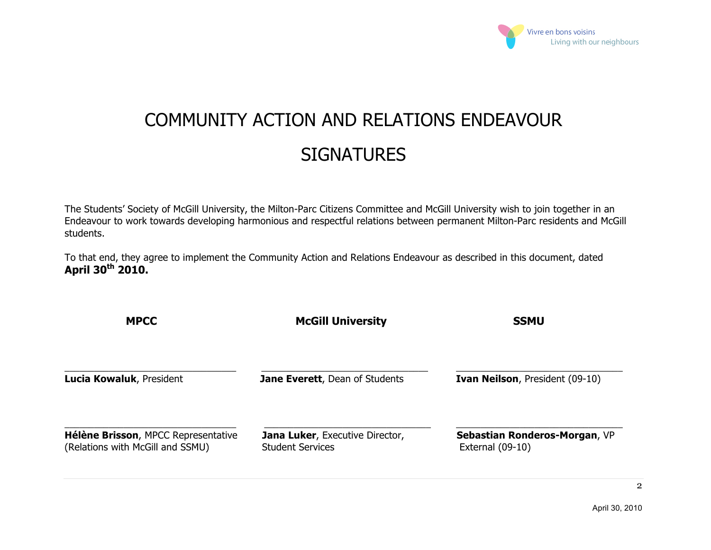

# COMMUNITY ACTION AND RELATIONS ENDEAVOUR **SIGNATURES**

The Students' Society of McGill University, the Milton-Parc Citizens Committee and McGill University wish to join together in an Endeavour to work towards developing harmonious and respectful relations between permanent Milton-Parc residents and McGill students.

To that end, they agree to implement the Community Action and Relations Endeavour as described in this document, dated **April 30th 2010.** 

| <b>MPCC</b>                                                             | <b>McGill University</b>                                          | <b>SSMU</b>                                         |  |
|-------------------------------------------------------------------------|-------------------------------------------------------------------|-----------------------------------------------------|--|
| Lucia Kowaluk, President                                                | Jane Everett, Dean of Students                                    | <b>Ivan Neilson, President (09-10)</b>              |  |
| Hélène Brisson, MPCC Representative<br>(Relations with McGill and SSMU) | <b>Jana Luker, Executive Director,</b><br><b>Student Services</b> | Sebastian Ronderos-Morgan, VP<br>External $(09-10)$ |  |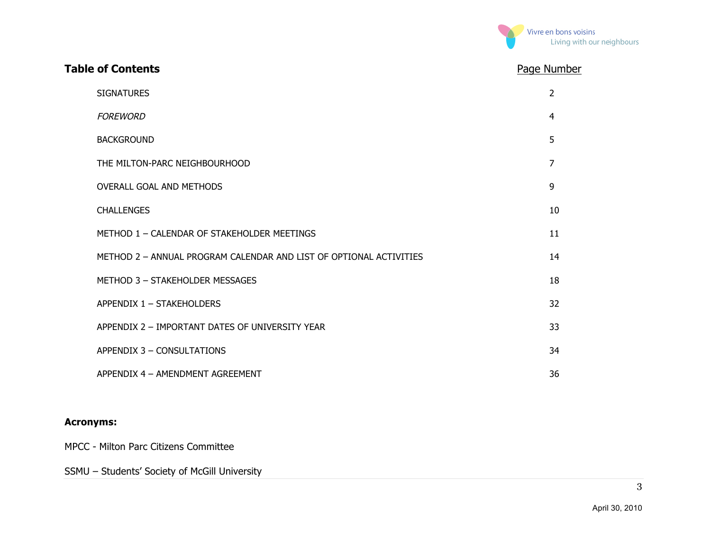

| <b>Table of Contents</b>                                           | Page Number    |
|--------------------------------------------------------------------|----------------|
| <b>SIGNATURES</b>                                                  | $\overline{2}$ |
| <b>FOREWORD</b>                                                    | 4              |
| <b>BACKGROUND</b>                                                  | 5              |
| THE MILTON-PARC NEIGHBOURHOOD                                      | $\overline{7}$ |
| <b>OVERALL GOAL AND METHODS</b>                                    | 9              |
| <b>CHALLENGES</b>                                                  | 10             |
| METHOD 1 - CALENDAR OF STAKEHOLDER MEETINGS                        | 11             |
| METHOD 2 - ANNUAL PROGRAM CALENDAR AND LIST OF OPTIONAL ACTIVITIES | 14             |
| METHOD 3 - STAKEHOLDER MESSAGES                                    | 18             |
| APPENDIX 1 - STAKEHOLDERS                                          | 32             |
| APPENDIX 2 - IMPORTANT DATES OF UNIVERSITY YEAR                    | 33             |
| APPENDIX 3 - CONSULTATIONS                                         | 34             |
| APPENDIX 4 - AMENDMENT AGREEMENT                                   | 36             |

#### **Acronyms:**

MPCC - Milton Parc Citizens Committee

SSMU – Students' Society of McGill University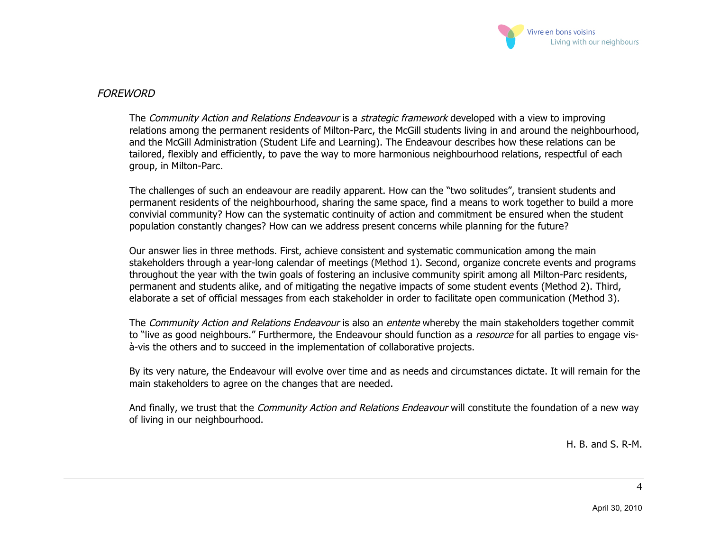

#### **FORFWORD**

The *Community Action and Relations Endeavour* is a *strategic framework* developed with a view to improving relations among the permanent residents of Milton-Parc, the McGill students living in and around the neighbourhood, and the McGill Administration (Student Life and Learning). The Endeavour describes how these relations can be tailored, flexibly and efficiently, to pave the way to more harmonious neighbourhood relations, respectful of each group, in Milton-Parc.

The challenges of such an endeavour are readily apparent. How can the "two solitudes", transient students and permanent residents of the neighbourhood, sharing the same space, find a means to work together to build a more convivial community? How can the systematic continuity of action and commitment be ensured when the student population constantly changes? How can we address present concerns while planning for the future?

Our answer lies in three methods. First, achieve consistent and systematic communication among the main stakeholders through a year-long calendar of meetings (Method 1). Second, organize concrete events and programs throughout the year with the twin goals of fostering an inclusive community spirit among all Milton-Parc residents, permanent and students alike, and of mitigating the negative impacts of some student events (Method 2). Third, elaborate a set of official messages from each stakeholder in order to facilitate open communication (Method 3).

The Community Action and Relations Endeavour is also an entente whereby the main stakeholders together commit to "live as good neighbours." Furthermore, the Endeavour should function as a *resource* for all parties to engage visà-vis the others and to succeed in the implementation of collaborative projects.

By its very nature, the Endeavour will evolve over time and as needs and circumstances dictate. It will remain for the main stakeholders to agree on the changes that are needed.

And finally, we trust that the *Community Action and Relations Endeavour* will constitute the foundation of a new way of living in our neighbourhood.

H. B. and S. R-M.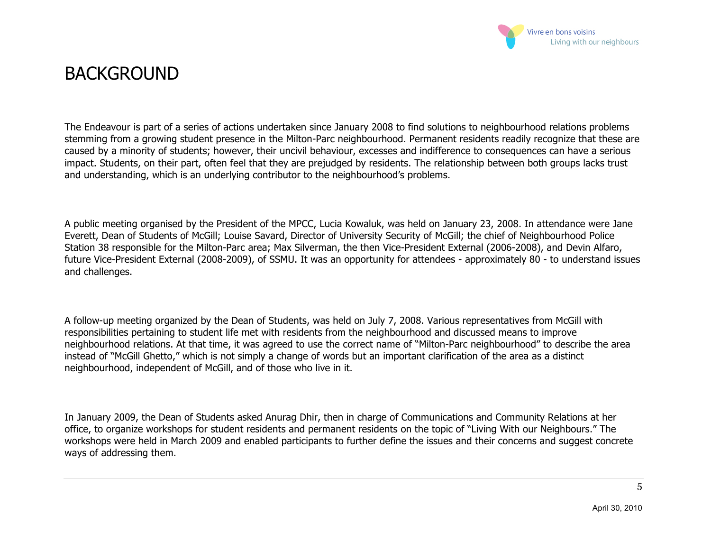

### **BACKGROUND**

The Endeavour is part of a series of actions undertaken since January 2008 to find solutions to neighbourhood relations problems stemming from a growing student presence in the Milton-Parc neighbourhood. Permanent residents readily recognize that these are caused by a minority of students; however, their uncivil behaviour, excesses and indifference to consequences can have a serious impact. Students, on their part, often feel that they are prejudged by residents. The relationship between both groups lacks trust and understanding, which is an underlying contributor to the neighbourhood's problems.

A public meeting organised by the President of the MPCC, Lucia Kowaluk, was held on January 23, 2008. In attendance were Jane Everett, Dean of Students of McGill; Louise Savard, Director of University Security of McGill; the chief of Neighbourhood Police Station 38 responsible for the Milton-Parc area; Max Silverman, the then Vice-President External (2006-2008), and Devin Alfaro, future Vice-President External (2008-2009), of SSMU. It was an opportunity for attendees - approximately 80 - to understand issues and challenges.

A follow-up meeting organized by the Dean of Students, was held on July 7, 2008. Various representatives from McGill with responsibilities pertaining to student life met with residents from the neighbourhood and discussed means to improve neighbourhood relations. At that time, it was agreed to use the correct name of "Milton-Parc neighbourhood" to describe the area instead of "McGill Ghetto," which is not simply a change of words but an important clarification of the area as a distinct neighbourhood, independent of McGill, and of those who live in it.

In January 2009, the Dean of Students asked Anurag Dhir, then in charge of Communications and Community Relations at her office, to organize workshops for student residents and permanent residents on the topic of "Living With our Neighbours." The workshops were held in March 2009 and enabled participants to further define the issues and their concerns and suggest concrete ways of addressing them.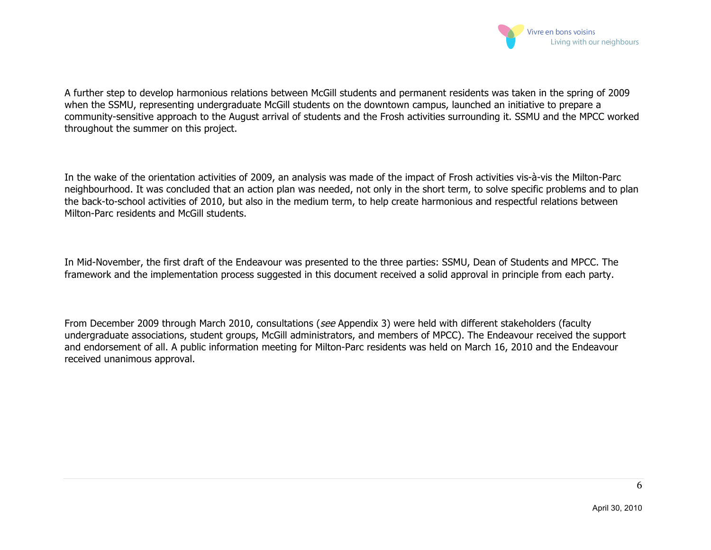

A further step to develop harmonious relations between McGill students and permanent residents was taken in the spring of 2009 when the SSMU, representing undergraduate McGill students on the downtown campus, launched an initiative to prepare a community-sensitive approach to the August arrival of students and the Frosh activities surrounding it. SSMU and the MPCC worked throughout the summer on this project.

In the wake of the orientation activities of 2009, an analysis was made of the impact of Frosh activities vis-à-vis the Milton-Parc neighbourhood. It was concluded that an action plan was needed, not only in the short term, to solve specific problems and to plan the back-to-school activities of 2010, but also in the medium term, to help create harmonious and respectful relations between Milton-Parc residents and McGill students.

In Mid-November, the first draft of the Endeavour was presented to the three parties: SSMU, Dean of Students and MPCC. The framework and the implementation process suggested in this document received a solid approval in principle from each party.

From December 2009 through March 2010, consultations (see Appendix 3) were held with different stakeholders (faculty undergraduate associations, student groups, McGill administrators, and members of MPCC). The Endeavour received the support and endorsement of all. A public information meeting for Milton-Parc residents was held on March 16, 2010 and the Endeavour received unanimous approval.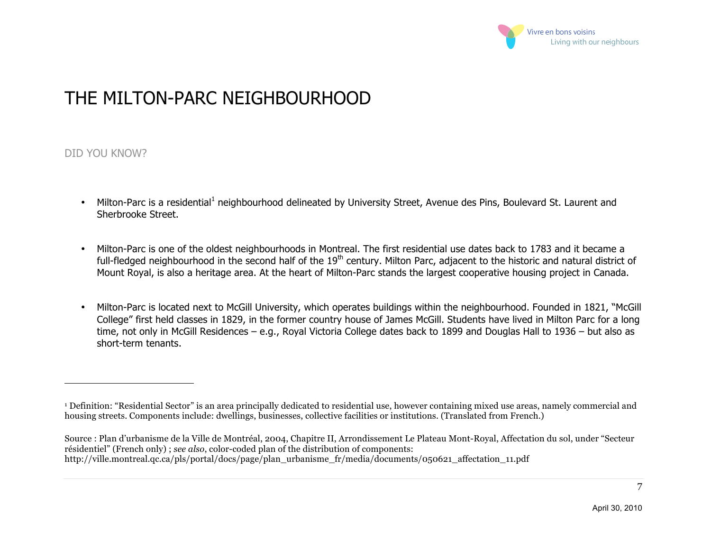

### THE MILTON-PARC NEIGHBOURHOOD

#### DID YOU KNOW?

 $\overline{a}$ 

- Milton-Parc is a residential<sup>1</sup> neighbourhood delineated by University Street, Avenue des Pins, Boulevard St. Laurent and Sherbrooke Street.
- Milton-Parc is one of the oldest neighbourhoods in Montreal. The first residential use dates back to 1783 and it became a full-fledged neighbourhood in the second half of the 19<sup>th</sup> century. Milton Parc, adjacent to the historic and natural district of Mount Royal, is also a heritage area. At the heart of Milton-Parc stands the largest cooperative housing project in Canada.
- Milton-Parc is located next to McGill University, which operates buildings within the neighbourhood. Founded in 1821, "McGill College" first held classes in 1829, in the former country house of James McGill. Students have lived in Milton Parc for a long time, not only in McGill Residences – e.g., Royal Victoria College dates back to 1899 and Douglas Hall to 1936 – but also as short-term tenants.

<sup>1</sup> Definition: "Residential Sector" is an area principally dedicated to residential use, however containing mixed use areas, namely commercial and housing streets. Components include: dwellings, businesses, collective facilities or institutions. (Translated from French.)

Source : Plan d'urbanisme de la Ville de Montréal, 2004, Chapitre II, Arrondissement Le Plateau Mont-Royal, Affectation du sol, under "Secteur résidentiel" (French only) ; *see also*, color-coded plan of the distribution of components: http://ville.montreal.qc.ca/pls/portal/docs/page/plan\_urbanisme\_fr/media/documents/050621\_affectation\_11.pdf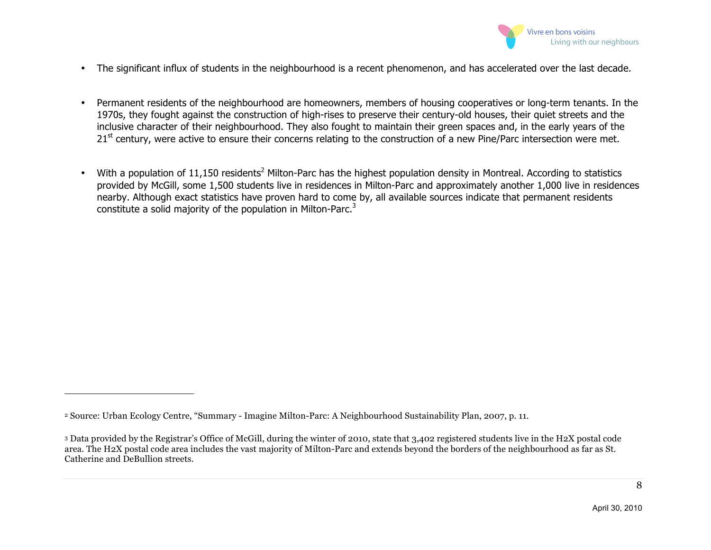

- The significant influx of students in the neighbourhood is a recent phenomenon, and has accelerated over the last decade.
- Permanent residents of the neighbourhood are homeowners, members of housing cooperatives or long-term tenants. In the 1970s, they fought against the construction of high-rises to preserve their century-old houses, their quiet streets and the inclusive character of their neighbourhood. They also fought to maintain their green spaces and, in the early years of the  $21<sup>st</sup>$  century, were active to ensure their concerns relating to the construction of a new Pine/Parc intersection were met.
- With a population of 11,150 residents<sup>2</sup> Milton-Parc has the highest population density in Montreal. According to statistics provided by McGill, some 1,500 students live in residences in Milton-Parc and approximately another 1,000 live in residences nearby. Although exact statistics have proven hard to come by, all available sources indicate that permanent residents constitute a solid majority of the population in Milton-Parc.<sup>3</sup>

 $\overline{a}$ 

<sup>2</sup> Source: Urban Ecology Centre, "Summary - Imagine Milton-Parc: A Neighbourhood Sustainability Plan, 2007, p. 11.

<sup>3</sup> Data provided by the Registrar's Office of McGill, during the winter of 2010, state that 3,402 registered students live in the H2X postal code area. The H2X postal code area includes the vast majority of Milton-Parc and extends beyond the borders of the neighbourhood as far as St. Catherine and DeBullion streets.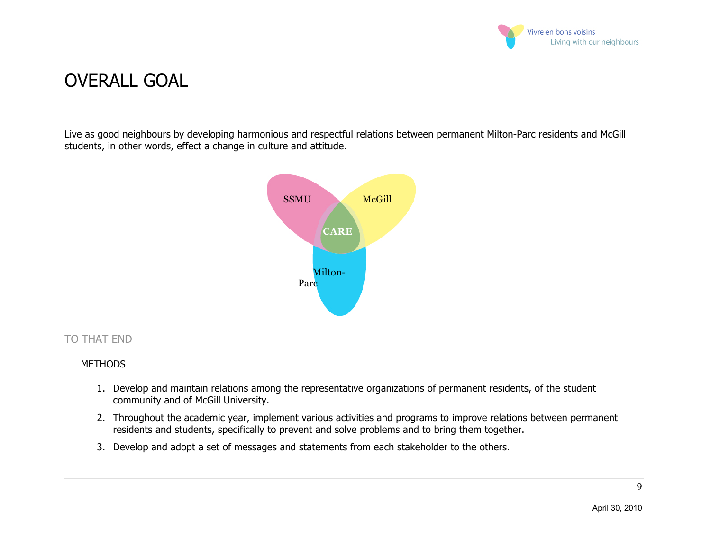

### OVERALL GOAL

Live as good neighbours by developing harmonious and respectful relations between permanent Milton-Parc residents and McGill students, in other words, effect a change in culture and attitude.



#### TO THAT END

#### **METHODS**

- 1. Develop and maintain relations among the representative organizations of permanent residents, of the student community and of McGill University.
- 2. Throughout the academic year, implement various activities and programs to improve relations between permanent residents and students, specifically to prevent and solve problems and to bring them together.
- 3. Develop and adopt a set of messages and statements from each stakeholder to the others.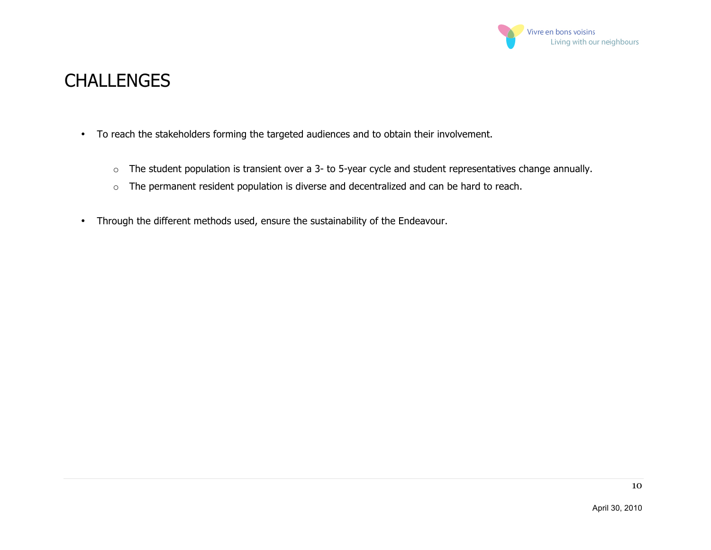

### CHALLENGES

- To reach the stakeholders forming the targeted audiences and to obtain their involvement.
	- $\circ$  The student population is transient over a 3- to 5-year cycle and student representatives change annually.
	- o The permanent resident population is diverse and decentralized and can be hard to reach.
- Through the different methods used, ensure the sustainability of the Endeavour.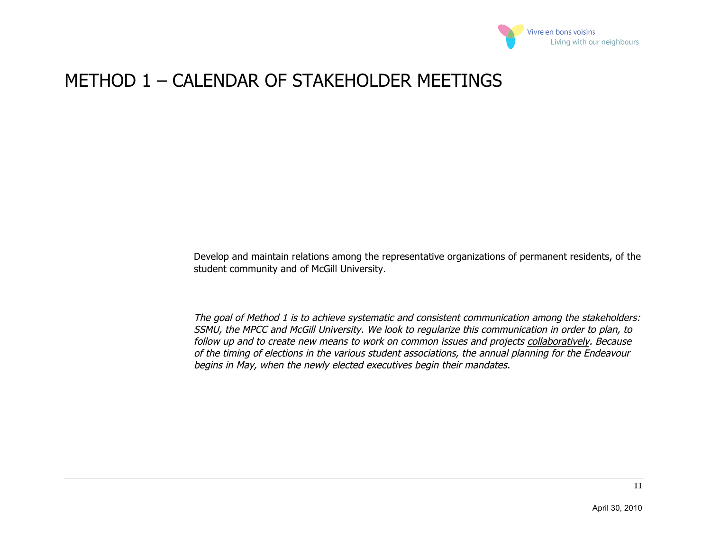

### METHOD 1 – CALENDAR OF STAKEHOLDER MEETINGS

Develop and maintain relations among the representative organizations of permanent residents, of the student community and of McGill University.

The goal of Method 1 is to achieve systematic and consistent communication among the stakeholders: SSMU, the MPCC and McGill University. We look to regularize this communication in order to plan, to follow up and to create new means to work on common issues and projects collaboratively. Because of the timing of elections in the various student associations, the annual planning for the Endeavour begins in May, when the newly elected executives begin their mandates.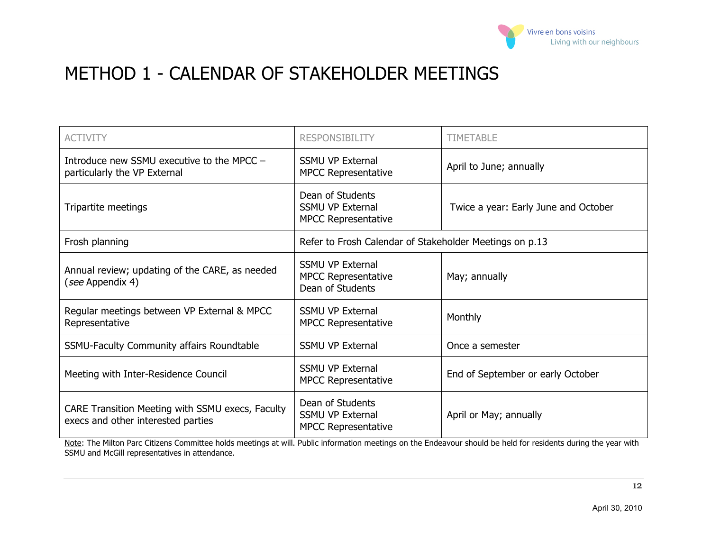

# METHOD 1 - CALENDAR OF STAKEHOLDER MEETINGS

| <b>ACTIVITY</b>                                                                        | <b>RESPONSIBILITY</b>                                                     | <b>TIMETABLE</b>                     |  |
|----------------------------------------------------------------------------------------|---------------------------------------------------------------------------|--------------------------------------|--|
| Introduce new SSMU executive to the MPCC -<br>particularly the VP External             | <b>SSMU VP External</b><br><b>MPCC Representative</b>                     | April to June; annually              |  |
| Tripartite meetings                                                                    | Dean of Students<br><b>SSMU VP External</b><br><b>MPCC Representative</b> | Twice a year: Early June and October |  |
| Frosh planning                                                                         | Refer to Frosh Calendar of Stakeholder Meetings on p.13                   |                                      |  |
| Annual review; updating of the CARE, as needed<br>(see Appendix 4)                     | <b>SSMU VP External</b><br><b>MPCC Representative</b><br>Dean of Students | May; annually                        |  |
| Regular meetings between VP External & MPCC<br>Representative                          | <b>SSMU VP External</b><br><b>MPCC Representative</b>                     | Monthly                              |  |
| <b>SSMU-Faculty Community affairs Roundtable</b>                                       | <b>SSMU VP External</b>                                                   | Once a semester                      |  |
| Meeting with Inter-Residence Council                                                   | <b>SSMU VP External</b><br><b>MPCC Representative</b>                     | End of September or early October    |  |
| CARE Transition Meeting with SSMU execs, Faculty<br>execs and other interested parties | Dean of Students<br><b>SSMU VP External</b><br><b>MPCC Representative</b> | April or May; annually               |  |

Note: The Milton Parc Citizens Committee holds meetings at will. Public information meetings on the Endeavour should be held for residents during the year with SSMU and McGill representatives in attendance.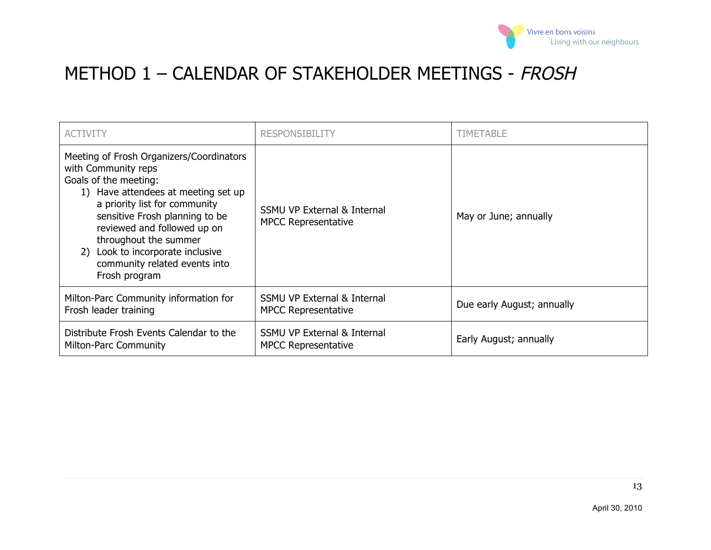

# METHOD 1 - CALENDAR OF STAKEHOLDER MEETINGS - FROSH

| <b>ACTIVITY</b>                                                                                                                                                                                                                                                                                                                                     | <b>RESPONSIBILITY</b>                                                | <b>TIMETABLE</b>           |
|-----------------------------------------------------------------------------------------------------------------------------------------------------------------------------------------------------------------------------------------------------------------------------------------------------------------------------------------------------|----------------------------------------------------------------------|----------------------------|
| Meeting of Frosh Organizers/Coordinators<br>with Community reps<br>Goals of the meeting:<br>1) Have attendees at meeting set up<br>a priority list for community<br>sensitive Frosh planning to be<br>reviewed and followed up on<br>throughout the summer<br>Look to incorporate inclusive<br>2)<br>community related events into<br>Frosh program | <b>SSMU VP External &amp; Internal</b><br><b>MPCC Representative</b> | May or June; annually      |
| Milton-Parc Community information for<br>Frosh leader training                                                                                                                                                                                                                                                                                      | <b>SSMU VP External &amp; Internal</b><br><b>MPCC Representative</b> | Due early August; annually |
| Distribute Frosh Events Calendar to the<br><b>Milton-Parc Community</b>                                                                                                                                                                                                                                                                             | <b>SSMU VP External &amp; Internal</b><br><b>MPCC Representative</b> | Early August; annually     |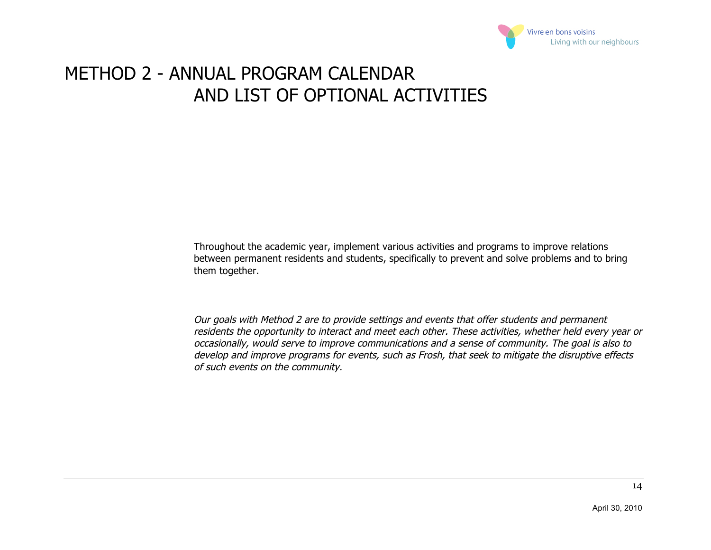

# METHOD 2 - ANNUAL PROGRAM CALENDAR AND LIST OF OPTIONAL ACTIVITIES

Throughout the academic year, implement various activities and programs to improve relations between permanent residents and students, specifically to prevent and solve problems and to bring them together.

Our goals with Method 2 are to provide settings and events that offer students and permanent residents the opportunity to interact and meet each other. These activities, whether held every year or occasionally, would serve to improve communications and a sense of community. The goal is also to develop and improve programs for events, such as Frosh, that seek to mitigate the disruptive effects of such events on the community.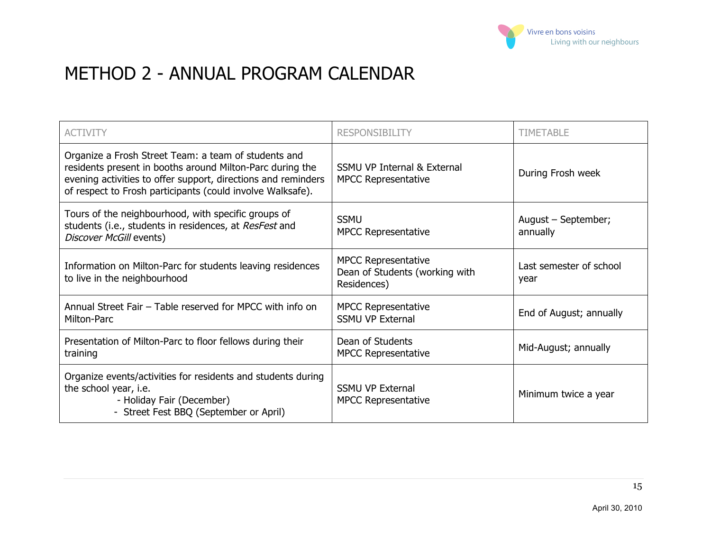

## METHOD 2 - ANNUAL PROGRAM CALENDAR

| <b>ACTIVITY</b>                                                                                                                                                                                                                                  | <b>RESPONSIBILITY</b>                                                       | TIMETABLE                       |
|--------------------------------------------------------------------------------------------------------------------------------------------------------------------------------------------------------------------------------------------------|-----------------------------------------------------------------------------|---------------------------------|
| Organize a Frosh Street Team: a team of students and<br>residents present in booths around Milton-Parc during the<br>evening activities to offer support, directions and reminders<br>of respect to Frosh participants (could involve Walksafe). | <b>SSMU VP Internal &amp; External</b><br><b>MPCC Representative</b>        | During Frosh week               |
| Tours of the neighbourhood, with specific groups of<br>students (i.e., students in residences, at ResFest and<br>Discover McGill events)                                                                                                         | <b>SSMU</b><br><b>MPCC Representative</b>                                   | August – September;<br>annually |
| Information on Milton-Parc for students leaving residences<br>to live in the neighbourhood                                                                                                                                                       | <b>MPCC Representative</b><br>Dean of Students (working with<br>Residences) | Last semester of school<br>year |
| Annual Street Fair - Table reserved for MPCC with info on<br>Milton-Parc                                                                                                                                                                         | <b>MPCC Representative</b><br><b>SSMU VP External</b>                       | End of August; annually         |
| Presentation of Milton-Parc to floor fellows during their<br>training                                                                                                                                                                            | Dean of Students<br><b>MPCC Representative</b>                              | Mid-August; annually            |
| Organize events/activities for residents and students during<br>the school year, i.e.<br>- Holiday Fair (December)<br>- Street Fest BBQ (September or April)                                                                                     | <b>SSMU VP External</b><br><b>MPCC Representative</b>                       | Minimum twice a year            |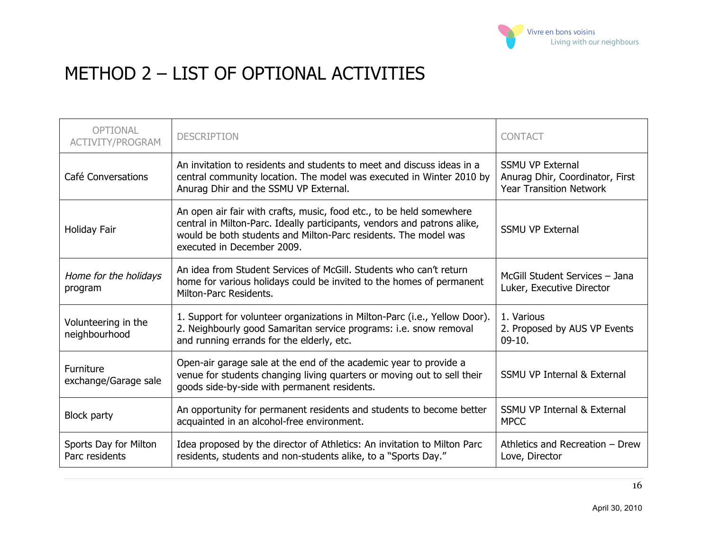

# METHOD 2 – LIST OF OPTIONAL ACTIVITIES

| <b>OPTIONAL</b><br><b>ACTIVITY/PROGRAM</b> | <b>DESCRIPTION</b>                                                                                                                                                                                                                                | <b>CONTACT</b>                                                                               |
|--------------------------------------------|---------------------------------------------------------------------------------------------------------------------------------------------------------------------------------------------------------------------------------------------------|----------------------------------------------------------------------------------------------|
| Café Conversations                         | An invitation to residents and students to meet and discuss ideas in a<br>central community location. The model was executed in Winter 2010 by<br>Anurag Dhir and the SSMU VP External.                                                           | <b>SSMU VP External</b><br>Anurag Dhir, Coordinator, First<br><b>Year Transition Network</b> |
| Holiday Fair                               | An open air fair with crafts, music, food etc., to be held somewhere<br>central in Milton-Parc. Ideally participants, vendors and patrons alike,<br>would be both students and Milton-Parc residents. The model was<br>executed in December 2009. | <b>SSMU VP External</b>                                                                      |
| Home for the holidays<br>program           | An idea from Student Services of McGill, Students who can't return<br>home for various holidays could be invited to the homes of permanent<br>Milton-Parc Residents.                                                                              | McGill Student Services - Jana<br>Luker, Executive Director                                  |
| Volunteering in the<br>neighbourhood       | 1. Support for volunteer organizations in Milton-Parc (i.e., Yellow Door).<br>2. Neighbourly good Samaritan service programs: i.e. snow removal<br>and running errands for the elderly, etc.                                                      | 1. Various<br>2. Proposed by AUS VP Events<br>$09-10.$                                       |
| Furniture<br>exchange/Garage sale          | Open-air garage sale at the end of the academic year to provide a<br>venue for students changing living quarters or moving out to sell their<br>goods side-by-side with permanent residents.                                                      | <b>SSMU VP Internal &amp; External</b>                                                       |
| <b>Block party</b>                         | An opportunity for permanent residents and students to become better<br>acquainted in an alcohol-free environment.                                                                                                                                | <b>SSMU VP Internal &amp; External</b><br><b>MPCC</b>                                        |
| Sports Day for Milton<br>Parc residents    | Idea proposed by the director of Athletics: An invitation to Milton Parc<br>residents, students and non-students alike, to a "Sports Day."                                                                                                        | Athletics and Recreation - Drew<br>Love, Director                                            |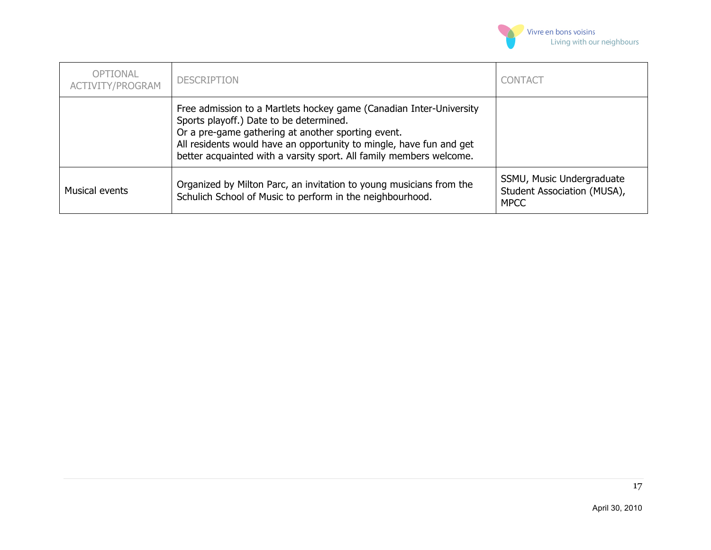

| <b>OPTIONAL</b><br>ACTIVITY/PROGRAM | <b>DESCRIPTION</b>                                                                                                                                                                                                                                                                                                 | <b>CONTACT</b>                                                          |
|-------------------------------------|--------------------------------------------------------------------------------------------------------------------------------------------------------------------------------------------------------------------------------------------------------------------------------------------------------------------|-------------------------------------------------------------------------|
|                                     | Free admission to a Martlets hockey game (Canadian Inter-University<br>Sports playoff.) Date to be determined.<br>Or a pre-game gathering at another sporting event.<br>All residents would have an opportunity to mingle, have fun and get<br>better acquainted with a varsity sport. All family members welcome. |                                                                         |
| Musical events                      | Organized by Milton Parc, an invitation to young musicians from the<br>Schulich School of Music to perform in the neighbourhood.                                                                                                                                                                                   | SSMU, Music Undergraduate<br>Student Association (MUSA),<br><b>MPCC</b> |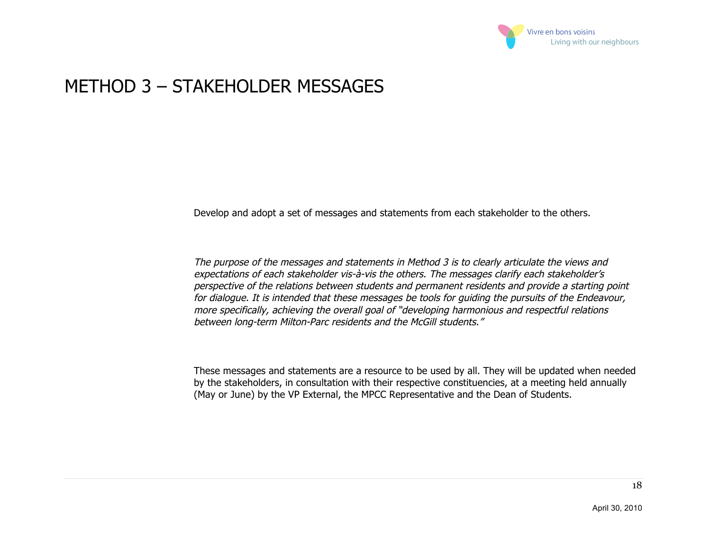

### METHOD 3 – STAKEHOLDER MESSAGES

Develop and adopt a set of messages and statements from each stakeholder to the others.

The purpose of the messages and statements in Method 3 is to clearly articulate the views and expectations of each stakeholder vis-à-vis the others. The messages clarify each stakeholder's perspective of the relations between students and permanent residents and provide a starting point for dialogue. It is intended that these messages be tools for guiding the pursuits of the Endeavour, more specifically, achieving the overall goal of "developing harmonious and respectful relations between long-term Milton-Parc residents and the McGill students."

These messages and statements are a resource to be used by all. They will be updated when needed by the stakeholders, in consultation with their respective constituencies, at a meeting held annually (May or June) by the VP External, the MPCC Representative and the Dean of Students.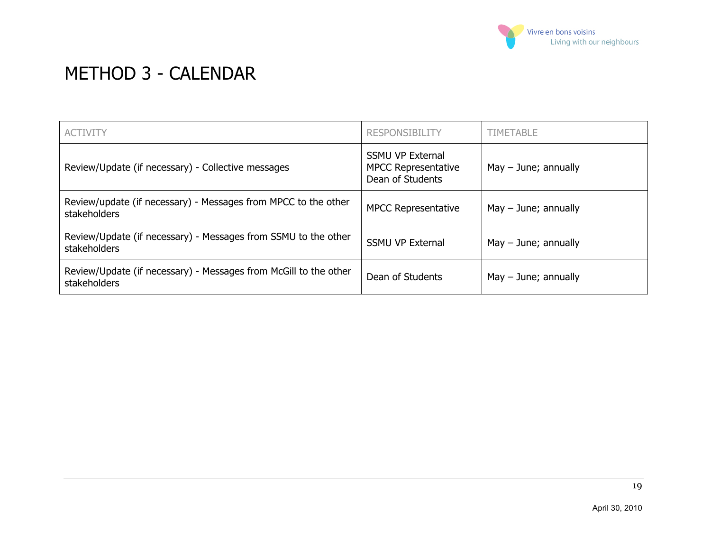

## METHOD 3 - CALENDAR

| <b>ACTIVITY</b>                                                                  | <b>RESPONSIBILITY</b>                                                     | <b>TIMETABLE</b>       |
|----------------------------------------------------------------------------------|---------------------------------------------------------------------------|------------------------|
| Review/Update (if necessary) - Collective messages                               | <b>SSMU VP External</b><br><b>MPCC Representative</b><br>Dean of Students | $May - June; annually$ |
| Review/update (if necessary) - Messages from MPCC to the other<br>stakeholders   | <b>MPCC Representative</b>                                                | $May - June; annually$ |
| Review/Update (if necessary) - Messages from SSMU to the other<br>stakeholders   | <b>SSMU VP External</b>                                                   | $May - June; annually$ |
| Review/Update (if necessary) - Messages from McGill to the other<br>stakeholders | Dean of Students                                                          | $May - June; annually$ |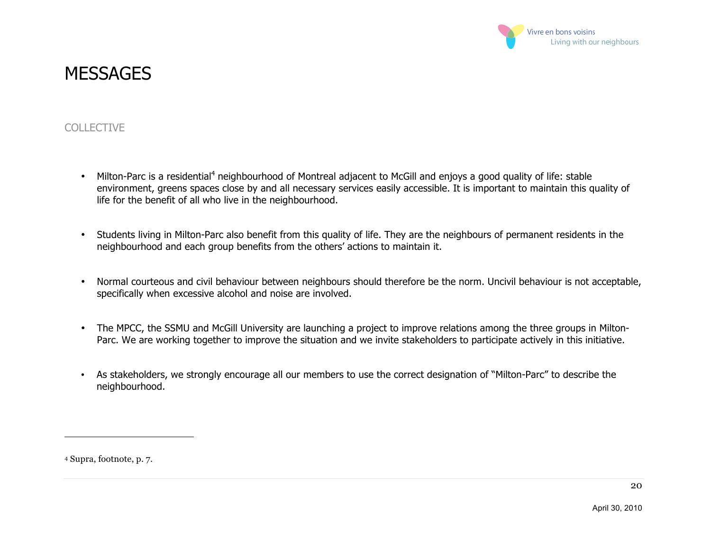

### **MESSAGES**

#### COLLECTIVE

- Milton-Parc is a residential<sup>4</sup> neighbourhood of Montreal adjacent to McGill and enjoys a good quality of life: stable environment, greens spaces close by and all necessary services easily accessible. It is important to maintain this quality of life for the benefit of all who live in the neighbourhood.
- Students living in Milton-Parc also benefit from this quality of life. They are the neighbours of permanent residents in the neighbourhood and each group benefits from the others' actions to maintain it.
- Normal courteous and civil behaviour between neighbours should therefore be the norm. Uncivil behaviour is not acceptable, specifically when excessive alcohol and noise are involved.
- The MPCC, the SSMU and McGill University are launching a project to improve relations among the three groups in Milton-Parc. We are working together to improve the situation and we invite stakeholders to participate actively in this initiative.
- As stakeholders, we strongly encourage all our members to use the correct designation of "Milton-Parc" to describe the neighbourhood.

4 Supra, footnote, p. 7.

 $\overline{a}$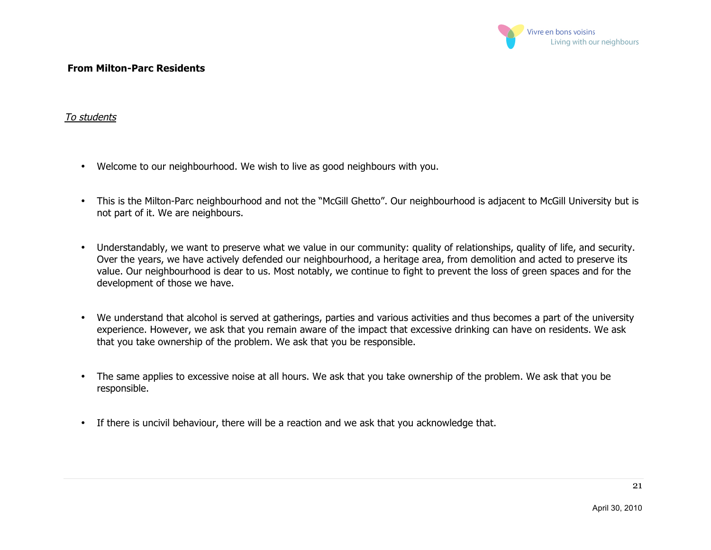

#### **From Milton-Parc Residents**

#### To students

- Welcome to our neighbourhood. We wish to live as good neighbours with you.
- This is the Milton-Parc neighbourhood and not the "McGill Ghetto". Our neighbourhood is adjacent to McGill University but is not part of it. We are neighbours.
- Understandably, we want to preserve what we value in our community: quality of relationships, quality of life, and security. Over the years, we have actively defended our neighbourhood, a heritage area, from demolition and acted to preserve its value. Our neighbourhood is dear to us. Most notably, we continue to fight to prevent the loss of green spaces and for the development of those we have.
- We understand that alcohol is served at gatherings, parties and various activities and thus becomes a part of the university experience. However, we ask that you remain aware of the impact that excessive drinking can have on residents. We ask that you take ownership of the problem. We ask that you be responsible.
- The same applies to excessive noise at all hours. We ask that you take ownership of the problem. We ask that you be responsible.
- If there is uncivil behaviour, there will be a reaction and we ask that you acknowledge that.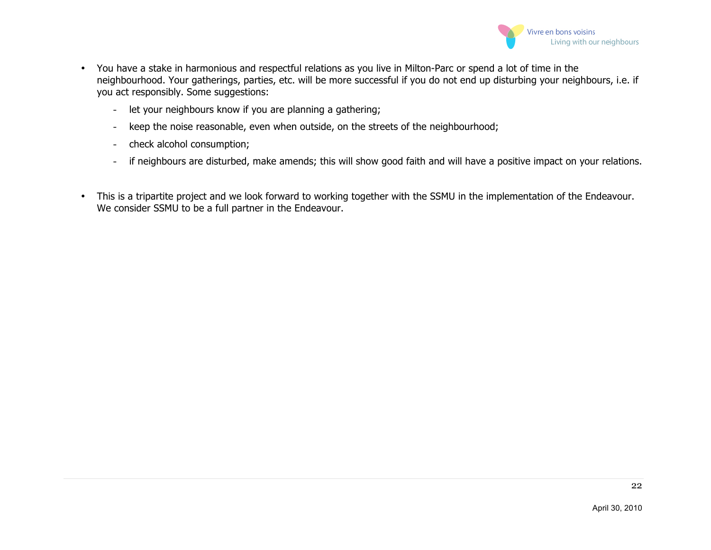

- You have a stake in harmonious and respectful relations as you live in Milton-Parc or spend a lot of time in the neighbourhood. Your gatherings, parties, etc. will be more successful if you do not end up disturbing your neighbours, i.e. if you act responsibly. Some suggestions:
	- let your neighbours know if you are planning a gathering;
	- keep the noise reasonable, even when outside, on the streets of the neighbourhood;
	- check alcohol consumption;
	- if neighbours are disturbed, make amends; this will show good faith and will have a positive impact on your relations.
- This is a tripartite project and we look forward to working together with the SSMU in the implementation of the Endeavour. We consider SSMU to be a full partner in the Endeavour.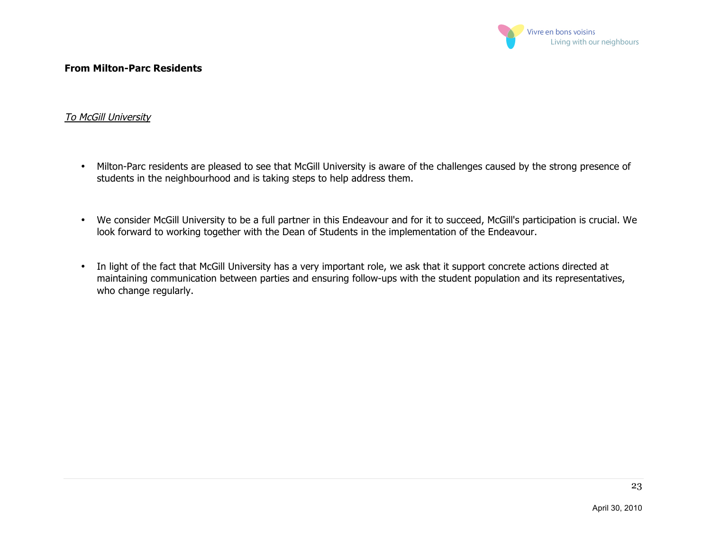

#### **From Milton-Parc Residents**

#### To McGill University

- Milton-Parc residents are pleased to see that McGill University is aware of the challenges caused by the strong presence of students in the neighbourhood and is taking steps to help address them.
- We consider McGill University to be a full partner in this Endeavour and for it to succeed, McGill's participation is crucial. We look forward to working together with the Dean of Students in the implementation of the Endeavour.
- In light of the fact that McGill University has a very important role, we ask that it support concrete actions directed at maintaining communication between parties and ensuring follow-ups with the student population and its representatives, who change regularly.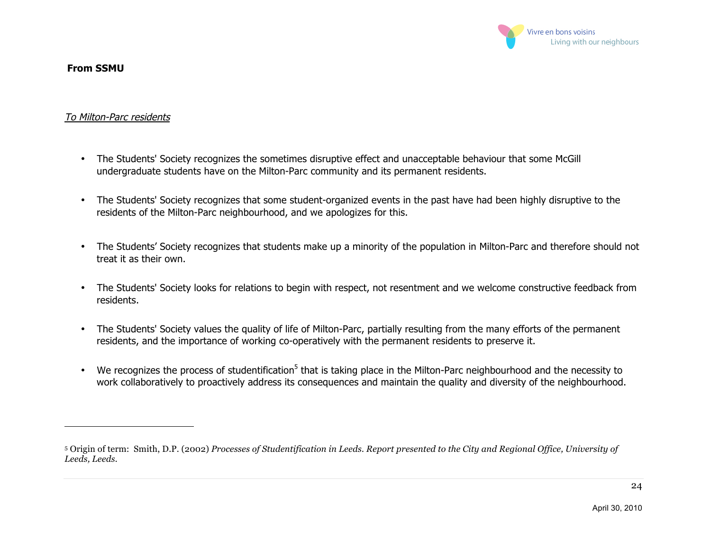

#### **From SSMU**

 $\overline{a}$ 

#### To Milton-Parc residents

- The Students' Society recognizes the sometimes disruptive effect and unacceptable behaviour that some McGill undergraduate students have on the Milton-Parc community and its permanent residents.
- The Students' Society recognizes that some student-organized events in the past have had been highly disruptive to the residents of the Milton-Parc neighbourhood, and we apologizes for this.
- The Students' Society recognizes that students make up a minority of the population in Milton-Parc and therefore should not treat it as their own.
- The Students' Society looks for relations to begin with respect, not resentment and we welcome constructive feedback from residents.
- The Students' Society values the quality of life of Milton-Parc, partially resulting from the many efforts of the permanent residents, and the importance of working co-operatively with the permanent residents to preserve it.
- We recognizes the process of studentification<sup>5</sup> that is taking place in the Milton-Parc neighbourhood and the necessity to work collaboratively to proactively address its consequences and maintain the quality and diversity of the neighbourhood.

<sup>5</sup> Origin of term: Smith, D.P. (2002) *Processes of Studentification in Leeds. Report presented to the City and Regional Office, University of Leeds, Leeds.*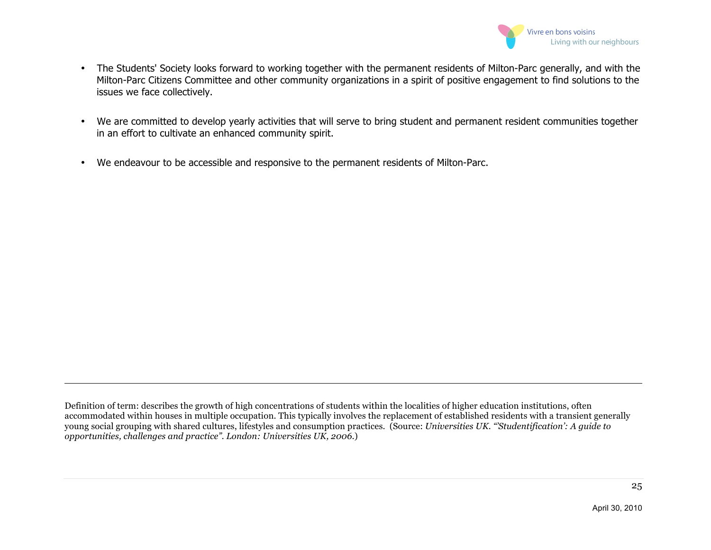

- The Students' Society looks forward to working together with the permanent residents of Milton-Parc generally, and with the Milton-Parc Citizens Committee and other community organizations in a spirit of positive engagement to find solutions to the issues we face collectively.
- We are committed to develop yearly activities that will serve to bring student and permanent resident communities together in an effort to cultivate an enhanced community spirit.
- We endeavour to be accessible and responsive to the permanent residents of Milton-Parc.

 $\overline{a}$ 

Definition of term: describes the growth of high concentrations of students within the localities of higher education institutions, often accommodated within houses in multiple occupation. This typically involves the replacement of established residents with a transient generally young social grouping with shared cultures, lifestyles and consumption practices. (Source: *Universities UK. "'Studentification': A guide to opportunities, challenges and practice". London: Universities UK, 2006*.)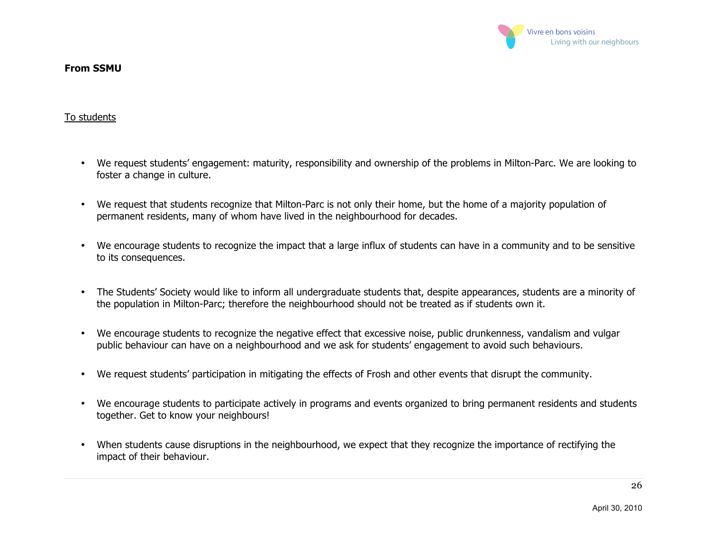

#### **From SSMU**

#### To students

- We request students' engagement: maturity, responsibility and ownership of the problems in Milton-Parc. We are looking to foster a change in culture.
- We request that students recognize that Milton-Parc is not only their home, but the home of a majority population of permanent residents, many of whom have lived in the neighbourhood for decades.
- We encourage students to recognize the impact that a large influx of students can have in a community and to be sensitive to its consequences.
- The Students' Society would like to inform all undergraduate students that, despite appearances, students are a minority of the population in Milton-Parc; therefore the neighbourhood should not be treated as if students own it.
- We encourage students to recognize the negative effect that excessive noise, public drunkenness, vandalism and vulgar public behaviour can have on a neighbourhood and we ask for students' engagement to avoid such behaviours.
- We request students' participation in mitigating the effects of Frosh and other events that disrupt the community.
- We encourage students to participate actively in programs and events organized to bring permanent residents and students together. Get to know your neighbours!
- When students cause disruptions in the neighbourhood, we expect that they recognize the importance of rectifying the impact of their behaviour.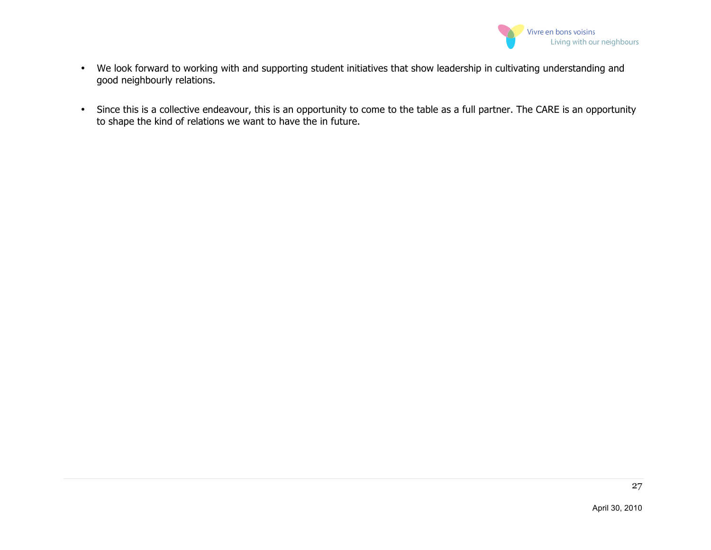

- We look forward to working with and supporting student initiatives that show leadership in cultivating understanding and good neighbourly relations.
- Since this is a collective endeavour, this is an opportunity to come to the table as a full partner. The CARE is an opportunity to shape the kind of relations we want to have the in future.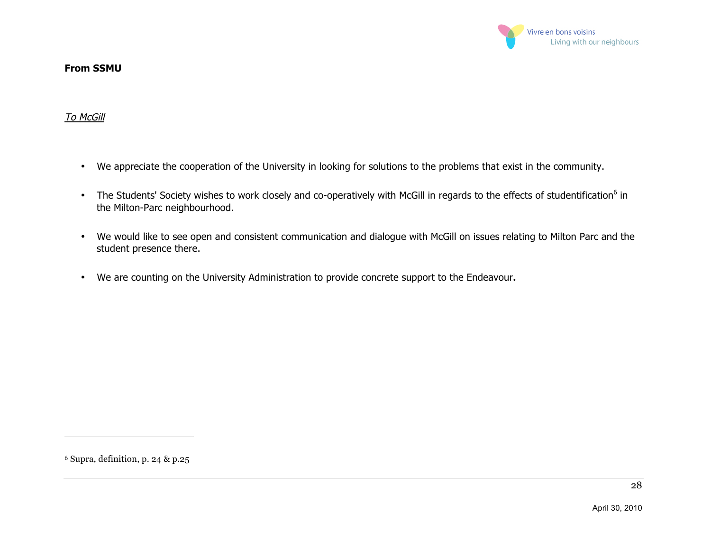

#### **From SSMU**

#### To McGill

- We appreciate the cooperation of the University in looking for solutions to the problems that exist in the community.
- The Students' Society wishes to work closely and co-operatively with McGill in regards to the effects of studentification<sup>6</sup> in the Milton-Parc neighbourhood.
- We would like to see open and consistent communication and dialogue with McGill on issues relating to Milton Parc and the student presence there.
- We are counting on the University Administration to provide concrete support to the Endeavour**.**

 $\overline{a}$ 

<sup>6</sup> Supra, definition, p. 24 & p.25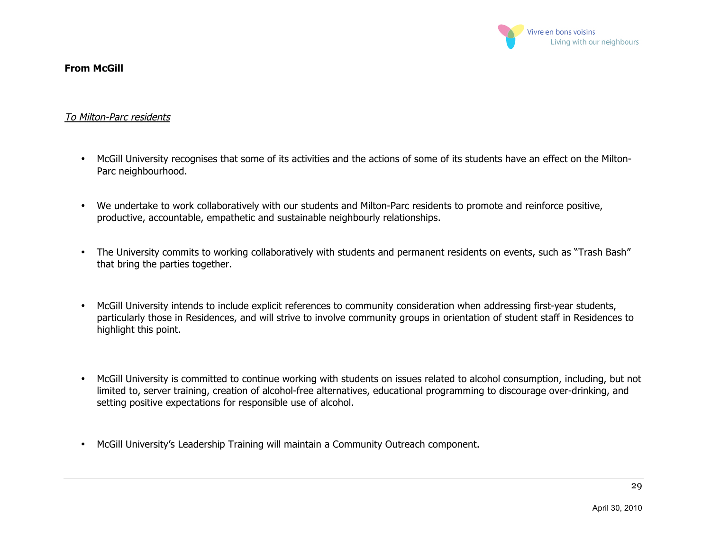

#### **From McGill**

#### To Milton-Parc residents

- McGill University recognises that some of its activities and the actions of some of its students have an effect on the Milton-Parc neighbourhood.
- We undertake to work collaboratively with our students and Milton-Parc residents to promote and reinforce positive, productive, accountable, empathetic and sustainable neighbourly relationships.
- The University commits to working collaboratively with students and permanent residents on events, such as "Trash Bash" that bring the parties together.
- McGill University intends to include explicit references to community consideration when addressing first-year students, particularly those in Residences, and will strive to involve community groups in orientation of student staff in Residences to highlight this point.
- McGill University is committed to continue working with students on issues related to alcohol consumption, including, but not limited to, server training, creation of alcohol-free alternatives, educational programming to discourage over-drinking, and setting positive expectations for responsible use of alcohol.
- McGill University's Leadership Training will maintain a Community Outreach component.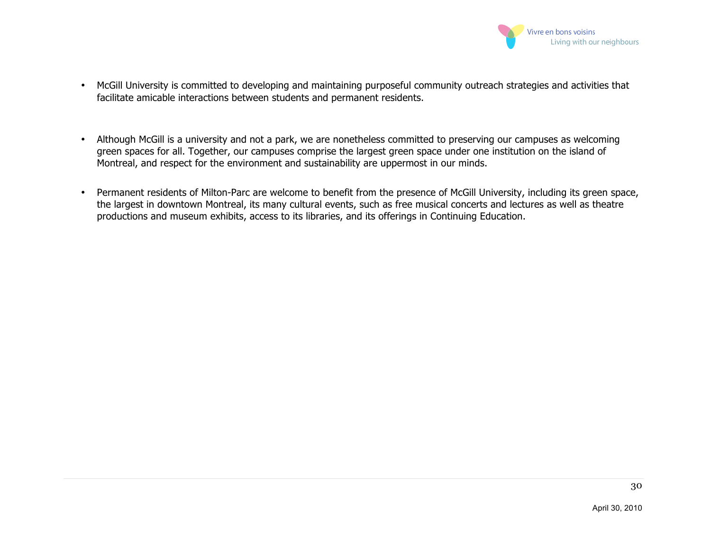

- McGill University is committed to developing and maintaining purposeful community outreach strategies and activities that facilitate amicable interactions between students and permanent residents.
- Although McGill is a university and not a park, we are nonetheless committed to preserving our campuses as welcoming green spaces for all. Together, our campuses comprise the largest green space under one institution on the island of Montreal, and respect for the environment and sustainability are uppermost in our minds.
- Permanent residents of Milton-Parc are welcome to benefit from the presence of McGill University, including its green space, the largest in downtown Montreal, its many cultural events, such as free musical concerts and lectures as well as theatre productions and museum exhibits, access to its libraries, and its offerings in Continuing Education.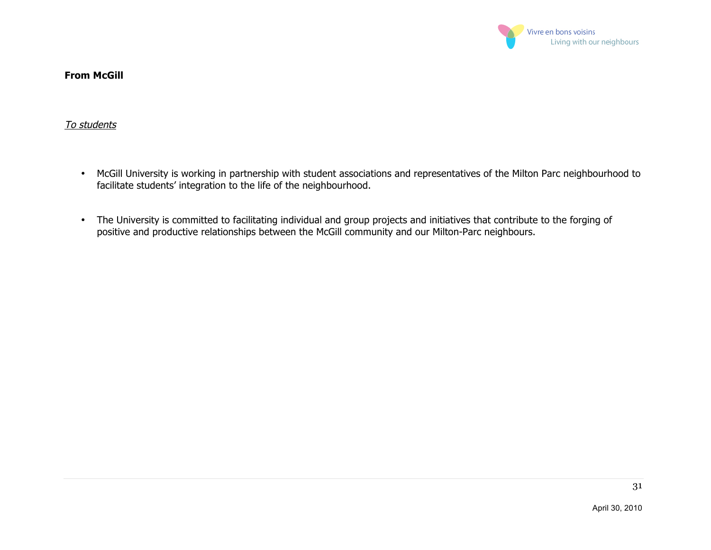

#### **From McGill**

#### To students

- McGill University is working in partnership with student associations and representatives of the Milton Parc neighbourhood to facilitate students' integration to the life of the neighbourhood.
- The University is committed to facilitating individual and group projects and initiatives that contribute to the forging of positive and productive relationships between the McGill community and our Milton-Parc neighbours.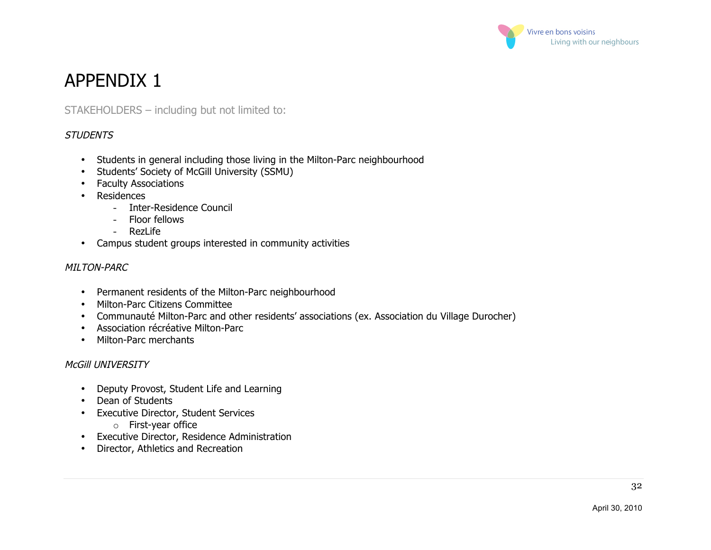

STAKEHOLDERS – including but not limited to:

#### **STUDENTS**

- Students in general including those living in the Milton-Parc neighbourhood
- Students' Society of McGill University (SSMU)
- Faculty Associations
- Residences
	- Inter-Residence Council
	- Floor fellows
	- RezLife
- Campus student groups interested in community activities

#### MILTON-PARC

- Permanent residents of the Milton-Parc neighbourhood
- Milton-Parc Citizens Committee
- Communauté Milton-Parc and other residents' associations (ex. Association du Village Durocher)
- Association récréative Milton-Parc
- Milton-Parc merchants

#### McGill UNIVERSITY

- Deputy Provost, Student Life and Learning
- Dean of Students
- Executive Director, Student Services
	- o First-year office
- Executive Director, Residence Administration
- Director, Athletics and Recreation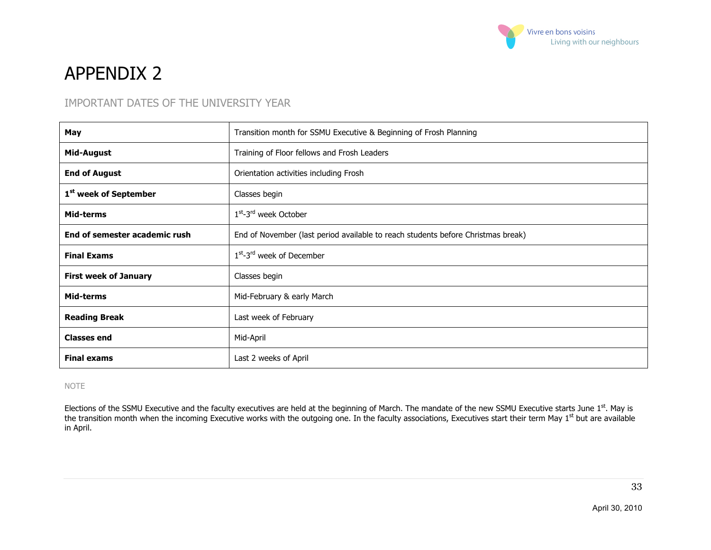

#### IMPORTANT DATES OF THE UNIVERSITY YEAR

| May                               | Transition month for SSMU Executive & Beginning of Frosh Planning                |  |
|-----------------------------------|----------------------------------------------------------------------------------|--|
| Mid-August                        | Training of Floor fellows and Frosh Leaders                                      |  |
| <b>End of August</b>              | Orientation activities including Frosh                                           |  |
| 1 <sup>st</sup> week of September | Classes begin                                                                    |  |
| Mid-terms                         | $1st - 3rd$ week October                                                         |  |
| End of semester academic rush     | End of November (last period available to reach students before Christmas break) |  |
| <b>Final Exams</b>                | $1st-3rd$ week of December                                                       |  |
| <b>First week of January</b>      | Classes begin                                                                    |  |
| Mid-terms                         | Mid-February & early March                                                       |  |
| <b>Reading Break</b>              | Last week of February                                                            |  |
| <b>Classes end</b>                | Mid-April                                                                        |  |
| <b>Final exams</b>                | Last 2 weeks of April                                                            |  |

#### NOTE

Elections of the SSMU Executive and the faculty executives are held at the beginning of March. The mandate of the new SSMU Executive starts June 1<sup>st</sup>. May is the transition month when the incoming Executive works with the outgoing one. In the faculty associations, Executives start their term May 1<sup>st</sup> but are available in April.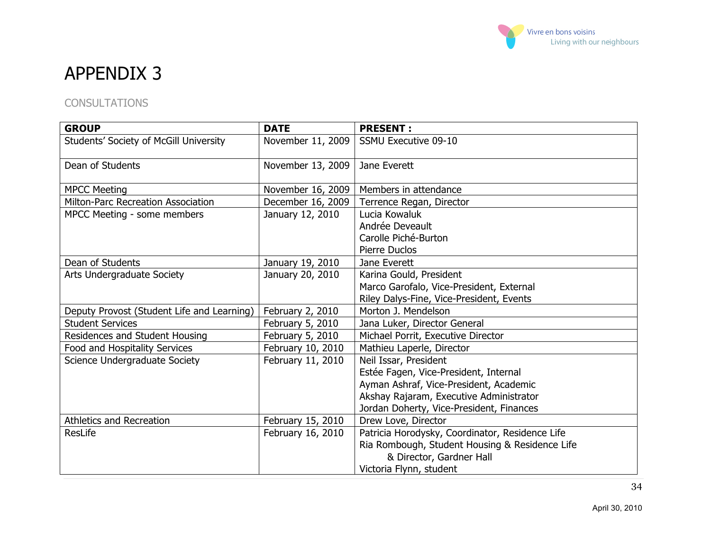

#### **CONSULTATIONS**

| <b>GROUP</b>                               | <b>DATE</b>       | <b>PRESENT:</b>                                 |
|--------------------------------------------|-------------------|-------------------------------------------------|
| Students' Society of McGill University     | November 11, 2009 | <b>SSMU Executive 09-10</b>                     |
| Dean of Students                           | November 13, 2009 | Jane Everett                                    |
| <b>MPCC Meeting</b>                        | November 16, 2009 | Members in attendance                           |
| <b>Milton-Parc Recreation Association</b>  | December 16, 2009 | Terrence Regan, Director                        |
| MPCC Meeting - some members                | January 12, 2010  | Lucia Kowaluk                                   |
|                                            |                   | Andrée Deveault                                 |
|                                            |                   | Carolle Piché-Burton                            |
|                                            |                   | Pierre Duclos                                   |
| Dean of Students                           | January 19, 2010  | Jane Everett                                    |
| Arts Undergraduate Society                 | January 20, 2010  | Karina Gould, President                         |
|                                            |                   | Marco Garofalo, Vice-President, External        |
|                                            |                   | Riley Dalys-Fine, Vice-President, Events        |
| Deputy Provost (Student Life and Learning) | February 2, 2010  | Morton J. Mendelson                             |
| <b>Student Services</b>                    | February 5, 2010  | Jana Luker, Director General                    |
| Residences and Student Housing             | February 5, 2010  | Michael Porrit, Executive Director              |
| Food and Hospitality Services              | February 10, 2010 | Mathieu Laperle, Director                       |
| Science Undergraduate Society              | February 11, 2010 | Neil Issar, President                           |
|                                            |                   | Estée Fagen, Vice-President, Internal           |
|                                            |                   | Ayman Ashraf, Vice-President, Academic          |
|                                            |                   | Akshay Rajaram, Executive Administrator         |
|                                            |                   | Jordan Doherty, Vice-President, Finances        |
| <b>Athletics and Recreation</b>            | February 15, 2010 | Drew Love, Director                             |
| ResLife                                    | February 16, 2010 | Patricia Horodysky, Coordinator, Residence Life |
|                                            |                   | Ria Rombough, Student Housing & Residence Life  |
|                                            |                   | & Director, Gardner Hall                        |
|                                            |                   | Victoria Flynn, student                         |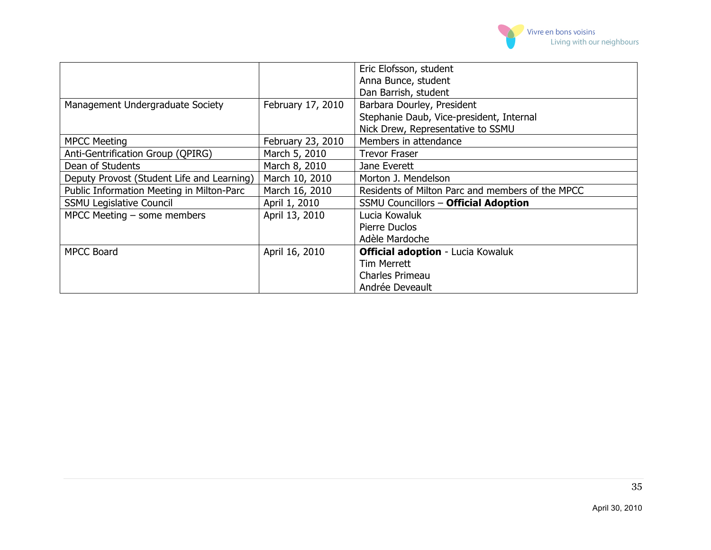

|                                            |                   | Eric Elofsson, student                           |
|--------------------------------------------|-------------------|--------------------------------------------------|
|                                            |                   | Anna Bunce, student                              |
|                                            |                   | Dan Barrish, student                             |
| Management Undergraduate Society           | February 17, 2010 | Barbara Dourley, President                       |
|                                            |                   | Stephanie Daub, Vice-president, Internal         |
|                                            |                   | Nick Drew, Representative to SSMU                |
| <b>MPCC Meeting</b>                        | February 23, 2010 | Members in attendance                            |
| Anti-Gentrification Group (QPIRG)          | March 5, 2010     | <b>Trevor Fraser</b>                             |
| Dean of Students                           | March 8, 2010     | Jane Everett                                     |
| Deputy Provost (Student Life and Learning) | March 10, 2010    | Morton J. Mendelson                              |
| Public Information Meeting in Milton-Parc  | March 16, 2010    | Residents of Milton Parc and members of the MPCC |
| <b>SSMU Legislative Council</b>            | April 1, 2010     | <b>SSMU Councillors - Official Adoption</b>      |
| MPCC Meeting $-$ some members              | April 13, 2010    | Lucia Kowaluk                                    |
|                                            |                   | Pierre Duclos                                    |
|                                            |                   | Adèle Mardoche                                   |
| <b>MPCC Board</b>                          | April 16, 2010    | <b>Official adoption - Lucia Kowaluk</b>         |
|                                            |                   | <b>Tim Merrett</b>                               |
|                                            |                   | Charles Primeau                                  |
|                                            |                   | Andrée Deveault                                  |